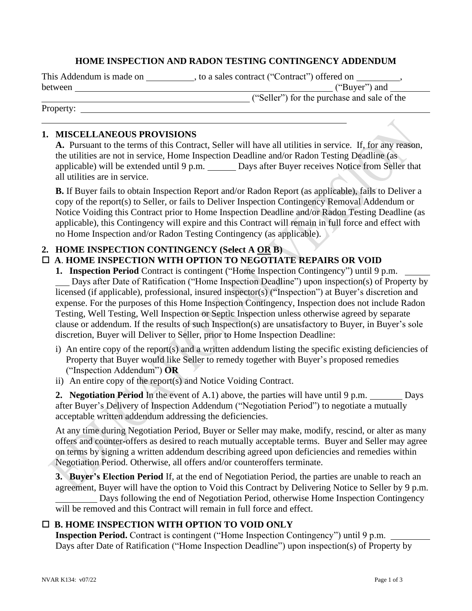#### **HOME INSPECTION AND RADON TESTING CONTINGENCY ADDENDUM**

This Addendum is made on \_\_\_\_\_\_\_\_\_\_, to a sales contract ("Contract") offered on \_\_\_

| between |  |
|---------|--|
|         |  |

**between** ("Buyer") and

Property:

("Seller") for the purchase and sale of the

# **1. MISCELLANEOUS PROVISIONS**

**A.** Pursuant to the terms of this Contract, Seller will have all utilities in service. If, for any reason, the utilities are not in service, Home Inspection Deadline and/or Radon Testing Deadline (as applicable) will be extended until 9 p.m. Days after Buyer receives Notice from Seller that all utilities are in service.

**B.** If Buyer fails to obtain Inspection Report and/or Radon Report (as applicable), fails to Deliver a copy of the report(s) to Seller, or fails to Deliver Inspection Contingency Removal Addendum or Notice Voiding this Contract prior to Home Inspection Deadline and/or Radon Testing Deadline (as applicable), this Contingency will expire and this Contract will remain in full force and effect with no Home Inspection and/or Radon Testing Contingency (as applicable).

# **2. HOME INSPECTION CONTINGENCY (Select A OR B)**

# **A**. **HOME INSPECTION WITH OPTION TO NEGOTIATE REPAIRS OR VOID**

**1. Inspection Period** Contract is contingent ("Home Inspection Contingency") until 9 p.m. Days after Date of Ratification ("Home Inspection Deadline") upon inspection(s) of Property by licensed (if applicable), professional, insured inspector(s) ("Inspection") at Buyer's discretion and expense. For the purposes of this Home Inspection Contingency, Inspection does not include Radon Testing, Well Testing, Well Inspection or Septic Inspection unless otherwise agreed by separate clause or addendum. If the results of such Inspection(s) are unsatisfactory to Buyer, in Buyer's sole discretion, Buyer will Deliver to Seller, prior to Home Inspection Deadline:

- i) An entire copy of the report(s) and a written addendum listing the specific existing deficiencies of Property that Buyer would like Seller to remedy together with Buyer's proposed remedies ("Inspection Addendum") **OR**
- ii) An entire copy of the report(s) and Notice Voiding Contract.

**2. Negotiation Period** In the event of A.1) above, the parties will have until 9 p.m. Days after Buyer's Delivery of Inspection Addendum ("Negotiation Period") to negotiate a mutually acceptable written addendum addressing the deficiencies.

At any time during Negotiation Period, Buyer or Seller may make, modify, rescind, or alter as many offers and counter-offers as desired to reach mutually acceptable terms. Buyer and Seller may agree on terms by signing a written addendum describing agreed upon deficiencies and remedies within Negotiation Period. Otherwise, all offers and/or counteroffers terminate.

**3. Buyer's Election Period** If, at the end of Negotiation Period, the parties are unable to reach an agreement, Buyer will have the option to Void this Contract by Delivering Notice to Seller by 9 p.m.

Days following the end of Negotiation Period, otherwise Home Inspection Contingency will be removed and this Contract will remain in full force and effect.

# **B. HOME INSPECTION WITH OPTION TO VOID ONLY**

**Inspection Period.** Contract is contingent ("Home Inspection Contingency") until 9 p.m. Days after Date of Ratification ("Home Inspection Deadline") upon inspection(s) of Property by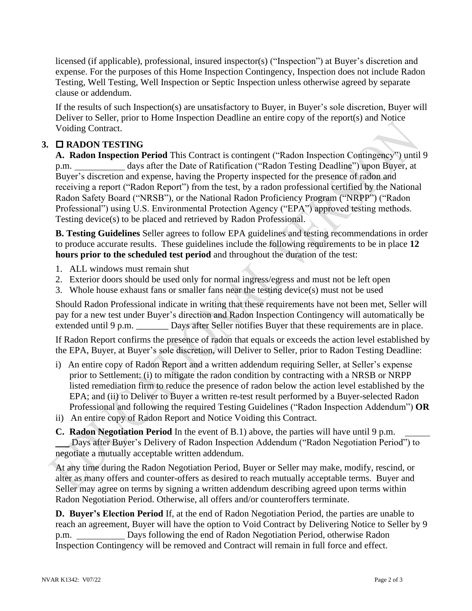licensed (if applicable), professional, insured inspector(s) ("Inspection") at Buyer's discretion and expense. For the purposes of this Home Inspection Contingency, Inspection does not include Radon Testing, Well Testing, Well Inspection or Septic Inspection unless otherwise agreed by separate clause or addendum.

If the results of such Inspection(s) are unsatisfactory to Buyer, in Buyer's sole discretion, Buyer will Deliver to Seller, prior to Home Inspection Deadline an entire copy of the report(s) and Notice Voiding Contract.

# **3. RADON TESTING**

**A. Radon Inspection Period** This Contract is contingent ("Radon Inspection Contingency") until 9 p.m. days after the Date of Ratification ("Radon Testing Deadline") upon Buyer, at Buyer's discretion and expense, having the Property inspected for the presence of radon and receiving a report ("Radon Report") from the test, by a radon professional certified by the National Radon Safety Board ("NRSB"), or the National Radon Proficiency Program ("NRPP") ("Radon Professional") using U.S. Environmental Protection Agency ("EPA") approved testing methods. Testing device(s) to be placed and retrieved by Radon Professional.

**B. Testing Guidelines** Seller agrees to follow EPA guidelines and testing recommendations in order to produce accurate results. These guidelines include the following requirements to be in place **12 hours prior to the scheduled test period** and throughout the duration of the test:

- 1. ALL windows must remain shut
- 2. Exterior doors should be used only for normal ingress/egress and must not be left open
- 3. Whole house exhaust fans or smaller fans near the testing device(s) must not be used

Should Radon Professional indicate in writing that these requirements have not been met, Seller will pay for a new test under Buyer's direction and Radon Inspection Contingency will automatically be extended until 9 p.m. \_\_\_\_\_\_\_\_ Days after Seller notifies Buyer that these requirements are in place.

If Radon Report confirms the presence of radon that equals or exceeds the action level established by the EPA, Buyer, at Buyer's sole discretion, will Deliver to Seller, prior to Radon Testing Deadline:

- i) An entire copy of Radon Report and a written addendum requiring Seller, at Seller's expense prior to Settlement: (i) to mitigate the radon condition by contracting with a NRSB or NRPP listed remediation firm to reduce the presence of radon below the action level established by the EPA; and (ii) to Deliver to Buyer a written re-test result performed by a Buyer-selected Radon Professional and following the required Testing Guidelines ("Radon Inspection Addendum") **OR**
- ii) An entire copy of Radon Report and Notice Voiding this Contract.

**C. Radon Negotiation Period** In the event of B.1) above, the parties will have until 9 p.m. Days after Buyer's Delivery of Radon Inspection Addendum ("Radon Negotiation Period") to negotiate a mutually acceptable written addendum.

At any time during the Radon Negotiation Period, Buyer or Seller may make, modify, rescind, or alter as many offers and counter-offers as desired to reach mutually acceptable terms. Buyer and Seller may agree on terms by signing a written addendum describing agreed upon terms within Radon Negotiation Period. Otherwise, all offers and/or counteroffers terminate.

**D. Buyer's Election Period** If, at the end of Radon Negotiation Period, the parties are unable to reach an agreement, Buyer will have the option to Void Contract by Delivering Notice to Seller by 9 p.m. Days following the end of Radon Negotiation Period, otherwise Radon Inspection Contingency will be removed and Contract will remain in full force and effect.